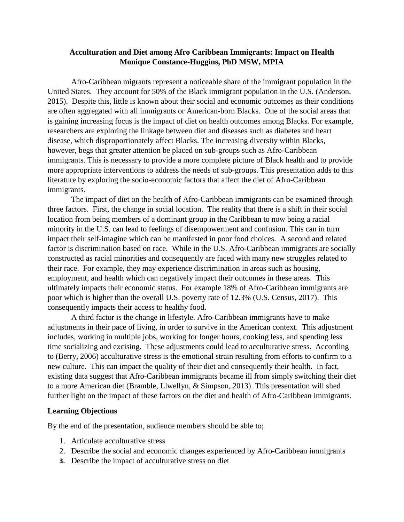## **Acculturation and Diet among Afro Caribbean Immigrants: Impact on Health Monique Constance-Huggins, PhD MSW, MPIA**

Afro-Caribbean migrants represent a noticeable share of the immigrant population in the United States. They account for 50% of the Black immigrant population in the U.S. (Anderson, 2015). Despite this, little is known about their social and economic outcomes as their conditions are often aggregated with all immigrants or American-born Blacks. One of the social areas that is gaining increasing focus is the impact of diet on health outcomes among Blacks. For example, researchers are exploring the linkage between diet and diseases such as diabetes and heart disease, which disproportionately affect Blacks. The increasing diversity within Blacks, however, begs that greater attention be placed on sub-groups such as Afro-Caribbean immigrants. This is necessary to provide a more complete picture of Black health and to provide more appropriate interventions to address the needs of sub-groups. This presentation adds to this literature by exploring the socio-economic factors that affect the diet of Afro-Caribbean immigrants.

The impact of diet on the health of Afro-Caribbean immigrants can be examined through three factors. First, the change in social location. The reality that there is a shift in their social location from being members of a dominant group in the Caribbean to now being a racial minority in the U.S. can lead to feelings of disempowerment and confusion. This can in turn impact their self-imagine which can be manifested in poor food choices. A second and related factor is discrimination based on race. While in the U.S. Afro-Caribbean immigrants are socially constructed as racial minorities and consequently are faced with many new struggles related to their race. For example, they may experience discrimination in areas such as housing, employment, and health which can negatively impact their outcomes in these areas. This ultimately impacts their economic status. For example 18% of Afro-Caribbean immigrants are poor which is higher than the overall U.S. poverty rate of 12.3% (U.S. Census, 2017). This consequently impacts their access to healthy food.

A third factor is the change in lifestyle. Afro-Caribbean immigrants have to make adjustments in their pace of living, in order to survive in the American context. This adjustment includes, working in multiple jobs, working for longer hours, cooking less, and spending less time socializing and excising. These adjustments could lead to acculturative stress. According to (Berry, 2006) acculturative stress is the emotional strain resulting from efforts to confirm to a new culture. This can impact the quality of their diet and consequently their health. In fact, existing data suggest that Afro-Caribbean immigrants became ill from simply switching their diet to a more American diet (Bramble, Llwellyn, & Simpson, 2013). This presentation will shed further light on the impact of these factors on the diet and health of Afro-Caribbean immigrants.

## **Learning Objections**

By the end of the presentation, audience members should be able to;

- 1. Articulate acculturative stress
- 2. Describe the social and economic changes experienced by Afro-Caribbean immigrants
- **3.** Describe the impact of acculturative stress on diet